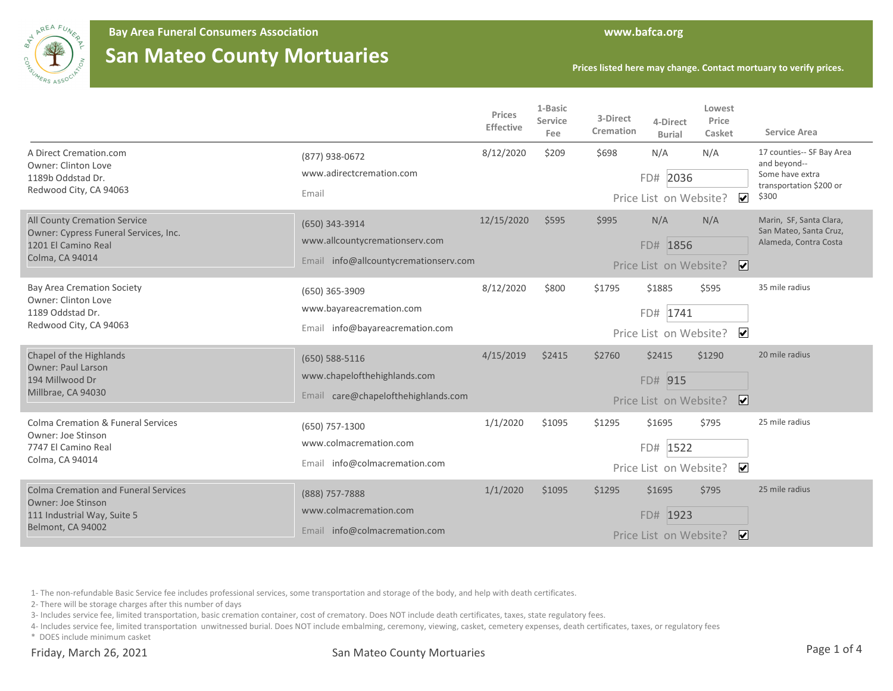

**Bay Area Funeral Consumers Association www.bafca.org**

## **San Mateo County Mortuaries**

**Prices listed here may change. Contact mortuary to verify prices.**

|                                                                                                                              |                                                                                           | Prices<br><b>Effective</b> | 1-Basic<br>Service<br>Fee | 3-Direct<br>Cremation | 4-Direct<br><b>Burial</b>                    | Lowest<br>Price<br>Casket           | <b>Service Area</b>                                                                              |
|------------------------------------------------------------------------------------------------------------------------------|-------------------------------------------------------------------------------------------|----------------------------|---------------------------|-----------------------|----------------------------------------------|-------------------------------------|--------------------------------------------------------------------------------------------------|
| A Direct Cremation.com<br><b>Owner: Clinton Love</b><br>1189b Oddstad Dr.<br>Redwood City, CA 94063                          | (877) 938-0672<br>www.adirectcremation.com<br>Email                                       | 8/12/2020                  | \$209                     | \$698                 | N/A<br>FD# 2036<br>Price List on Website?    | N/A<br>$\blacktriangledown$         | 17 counties-- SF Bay Area<br>and beyond--<br>Some have extra<br>transportation \$200 or<br>\$300 |
| <b>All County Cremation Service</b><br>Owner: Cypress Funeral Services, Inc.<br>1201 El Camino Real<br>Colma, CA 94014       | (650) 343-3914<br>www.allcountycremationserv.com<br>Email info@allcountycremationserv.com | 12/15/2020                 | \$595                     | \$995                 | N/A<br>FD# 1856<br>Price List on Website?    | N/A<br>$\boxed{\blacktriangledown}$ | Marin, SF, Santa Clara,<br>San Mateo, Santa Cruz,<br>Alameda, Contra Costa                       |
| <b>Bay Area Cremation Society</b><br>Owner: Clinton Love<br>1189 Oddstad Dr.<br>Redwood City, CA 94063                       | (650) 365-3909<br>www.bayareacremation.com<br>Email info@bayareacremation.com             | 8/12/2020                  | \$800                     | \$1795                | \$1885<br>FD# 1741<br>Price List on Website? | \$595<br>$\overline{\mathbf{v}}$    | 35 mile radius                                                                                   |
| Chapel of the Highlands<br><b>Owner: Paul Larson</b><br>194 Millwood Dr<br>Millbrae, CA 94030                                | $(650) 588 - 5116$<br>www.chapelofthehighlands.com<br>Email care@chapelofthehighlands.com | 4/15/2019                  | \$2415                    | \$2760                | \$2415<br>FD# 915<br>Price List on Website?  | \$1290<br>$\boxed{\mathbf{v}}$      | 20 mile radius                                                                                   |
| <b>Colma Cremation &amp; Funeral Services</b><br>Owner: Joe Stinson<br>7747 El Camino Real<br>Colma, CA 94014                | (650) 757-1300<br>www.colmacremation.com<br>Email info@colmacremation.com                 | 1/1/2020                   | \$1095                    | \$1295                | \$1695<br>FD# 1522<br>Price List on Website? | \$795<br>$\overline{\mathbf{v}}$    | 25 mile radius                                                                                   |
| <b>Colma Cremation and Funeral Services</b><br><b>Owner: Joe Stinson</b><br>111 Industrial Way, Suite 5<br>Belmont, CA 94002 | (888) 757-7888<br>www.colmacremation.com<br>Email info@colmacremation.com                 | 1/1/2020                   | \$1095                    | \$1295                | \$1695<br>FD# 1923<br>Price List on Website? | \$795<br>∣V∣                        | 25 mile radius                                                                                   |

1- The non-refundable Basic Service fee includes professional services, some transportation and storage of the body, and help with death certificates.

2- There will be storage charges after this number of days

3- Includes service fee, limited transportation, basic cremation container, cost of crematory. Does NOT include death certificates, taxes, state regulatory fees.

4- Includes service fee, limited transportation unwitnessed burial. Does NOT include embalming, ceremony, viewing, casket, cemetery expenses, death certificates, taxes, or regulatory fees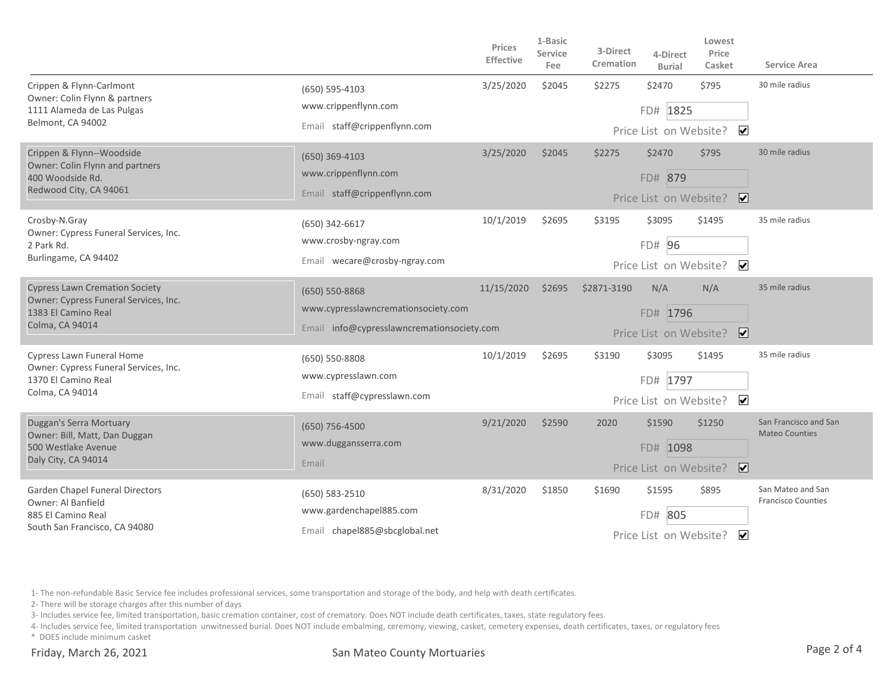|                                                                                                                                 |                                                                                                     | Prices<br>Effective | 1-Basic<br><b>Service</b><br>Fee | 3-Direct<br>Cremation | 4-Direct<br><b>Burial</b>                      | Lowest<br>Price<br>Casket         | Service Area                                   |
|---------------------------------------------------------------------------------------------------------------------------------|-----------------------------------------------------------------------------------------------------|---------------------|----------------------------------|-----------------------|------------------------------------------------|-----------------------------------|------------------------------------------------|
| Crippen & Flynn-Carlmont<br>Owner: Colin Flynn & partners<br>1111 Alameda de Las Pulgas<br>Belmont, CA 94002                    | (650) 595-4103<br>www.crippenflynn.com<br>Email staff@crippenflynn.com                              | 3/25/2020           | \$2045                           | \$2275                | \$2470<br>FD# 1825<br>Price List on Website?   | \$795<br>$\overline{\mathbf{v}}$  | 30 mile radius                                 |
| Crippen & Flynn--Woodside<br>Owner: Colin Flynn and partners<br>400 Woodside Rd.<br>Redwood City, CA 94061                      | (650) 369-4103<br>www.crippenflynn.com<br>Email staff@crippenflynn.com                              | 3/25/2020           | \$2045                           | \$2275                | \$2470<br>FD# 879                              | \$795<br>Price List on Website? ✔ | 30 mile radius                                 |
| Crosby-N.Gray<br>Owner: Cypress Funeral Services, Inc.<br>2 Park Rd.<br>Burlingame, CA 94402                                    | (650) 342-6617<br>www.crosby-ngray.com<br>Email wecare@crosby-ngray.com                             | 10/1/2019           | \$2695                           | \$3195                | \$3095<br>FD# 96<br>Price List on Website?     | \$1495<br>$\overline{\mathbf{v}}$ | 35 mile radius                                 |
| <b>Cypress Lawn Cremation Society</b><br>Owner: Cypress Funeral Services, Inc.<br>1383 El Camino Real<br><b>Colma, CA 94014</b> | (650) 550-8868<br>www.cypresslawncremationsociety.com<br>Email info@cypresslawncremationsociety.com | 11/15/2020          | \$2695                           | \$2871-3190           | N/A<br>FD# 1796<br>Price List on Website?      | N/A<br>$\overline{\mathbf{v}}$    | 35 mile radius                                 |
| Cypress Lawn Funeral Home<br>Owner: Cypress Funeral Services, Inc.<br>1370 El Camino Real<br>Colma, CA 94014                    | (650) 550-8808<br>www.cypresslawn.com<br>Email staff@cypresslawn.com                                | 10/1/2019           | \$2695                           | \$3190                | \$3095<br>FD# 1797<br>Price List on Website?   | \$1495<br>$\overline{\mathbf{v}}$ | 35 mile radius                                 |
| Duggan's Serra Mortuary<br>Owner: Bill, Matt, Dan Duggan<br>500 Westlake Avenue<br>Daly City, CA 94014                          | (650) 756-4500<br>www.duggansserra.com<br>Email                                                     | 9/21/2020           | \$2590                           | 2020                  | \$1590<br>FD# 1098<br>Price List on Website?   | \$1250<br>$\overline{\mathbf{v}}$ | San Francisco and San<br><b>Mateo Counties</b> |
| Garden Chapel Funeral Directors<br>Owner: Al Banfield<br>885 El Camino Real<br>South San Francisco, CA 94080                    | (650) 583-2510<br>www.gardenchapel885.com<br>Email chapel885@sbcglobal.net                          | 8/31/2020           | \$1850                           | \$1690                | \$1595<br>805<br>FD#<br>Price List on Website? | \$895<br>$\vert \mathbf{v} \vert$ | San Mateo and San<br><b>Francisco Counties</b> |

1- The non-refundable Basic Service fee includes professional services, some transportation and storage of the body, and help with death certificates.

2- There will be storage charges after this number of days

3- Includes service fee, limited transportation, basic cremation container, cost of crematory. Does NOT include death certificates, taxes, state regulatory fees.

4- Includes service fee, limited transportation unwitnessed burial. Does NOT include embalming, ceremony, viewing, casket, cemetery expenses, death certificates, taxes, or regulatory fees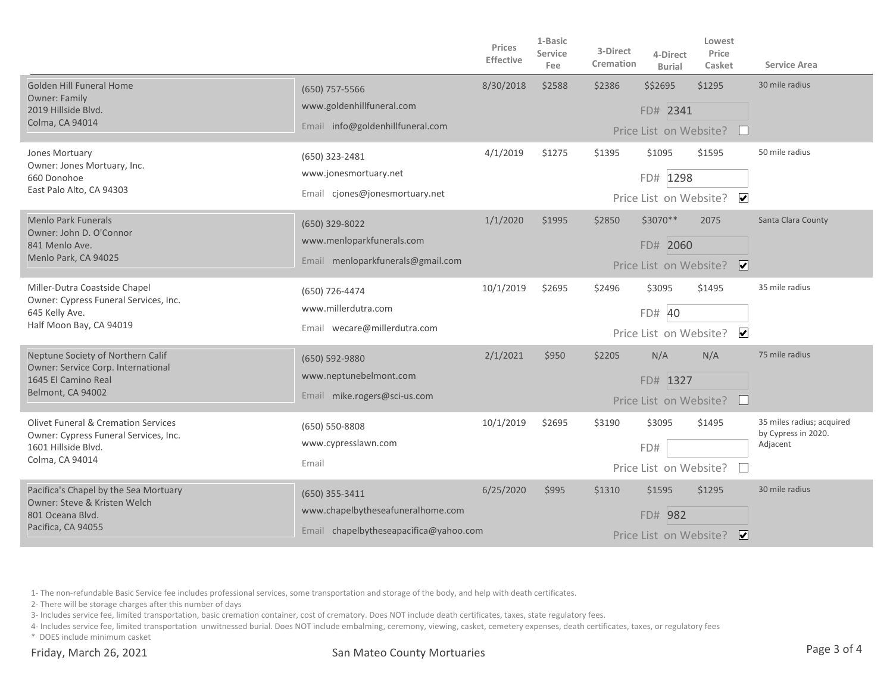|                                                                                                                                   |                                                                                                 | Prices<br>Effective | 1-Basic<br>Service<br>Fee | 3-Direct<br>Cremation | 4-Direct<br><b>Burial</b>                      | Lowest<br>Price<br>Casket         | Service Area                                                 |
|-----------------------------------------------------------------------------------------------------------------------------------|-------------------------------------------------------------------------------------------------|---------------------|---------------------------|-----------------------|------------------------------------------------|-----------------------------------|--------------------------------------------------------------|
| <b>Golden Hill Funeral Home</b><br>Owner: Family<br>2019 Hillside Blvd.<br>Colma, CA 94014                                        | (650) 757-5566<br>www.goldenhillfuneral.com<br>Email info@goldenhillfuneral.com                 | 8/30/2018           | \$2588                    | \$2386                | \$\$2695<br>FD# 2341<br>Price List on Website? | \$1295                            | 30 mile radius                                               |
| Jones Mortuary<br>Owner: Jones Mortuary, Inc.<br>660 Donohoe<br>East Palo Alto, CA 94303                                          | (650) 323-2481<br>www.jonesmortuary.net<br>Email cjones@jonesmortuary.net                       | 4/1/2019            | \$1275                    | \$1395                | \$1095<br>FD# 1298<br>Price List on Website?   | \$1595<br>$\overline{\mathbf{v}}$ | 50 mile radius                                               |
| <b>Menlo Park Funerals</b><br>Owner: John D. O'Connor<br>841 Menlo Ave.<br>Menlo Park, CA 94025                                   | (650) 329-8022<br>www.menloparkfunerals.com<br>Email menloparkfunerals@gmail.com                | 1/1/2020            | \$1995                    | \$2850                | \$3070**<br>FD# 2060<br>Price List on Website? | 2075<br>$\overline{\mathbf{v}}$   | Santa Clara County                                           |
| Miller-Dutra Coastside Chapel<br>Owner: Cypress Funeral Services, Inc.<br>645 Kelly Ave.<br>Half Moon Bay, CA 94019               | (650) 726-4474<br>www.millerdutra.com<br>Email wecare@millerdutra.com                           | 10/1/2019           | \$2695                    | \$2496                | \$3095<br>FD# 40<br>Price List on Website?     | \$1495<br>$\overline{\mathbf{v}}$ | 35 mile radius                                               |
| Neptune Society of Northern Calif<br>Owner: Service Corp. International<br>1645 El Camino Real<br>Belmont, CA 94002               | (650) 592-9880<br>www.neptunebelmont.com<br>Email mike.rogers@sci-us.com                        | 2/1/2021            | \$950                     | \$2205                | N/A<br>FD# 1327<br>Price List on Website?      | N/A                               | 75 mile radius                                               |
| <b>Olivet Funeral &amp; Cremation Services</b><br>Owner: Cypress Funeral Services, Inc.<br>1601 Hillside Blvd.<br>Colma, CA 94014 | (650) 550-8808<br>www.cypresslawn.com<br>Email                                                  | 10/1/2019           | \$2695                    | \$3190                | \$3095<br>FD#<br>Price List on Website?        | \$1495                            | 35 miles radius; acquired<br>by Cypress in 2020.<br>Adjacent |
| Pacifica's Chapel by the Sea Mortuary<br>Owner: Steve & Kristen Welch<br>801 Oceana Blvd.<br>Pacifica, CA 94055                   | $(650)$ 355-3411<br>www.chapelbytheseafuneralhome.com<br>Email chapelbytheseapacifica@yahoo.com | 6/25/2020           | \$995                     | \$1310                | \$1595<br>FD# 982<br>Price List on Website?    | \$1295<br>∣✔                      | 30 mile radius                                               |

1- The non-refundable Basic Service fee includes professional services, some transportation and storage of the body, and help with death certificates.

2- There will be storage charges after this number of days

3- Includes service fee, limited transportation, basic cremation container, cost of crematory. Does NOT include death certificates, taxes, state regulatory fees.

4- Includes service fee, limited transportation unwitnessed burial. Does NOT include embalming, ceremony, viewing, casket, cemetery expenses, death certificates, taxes, or regulatory fees